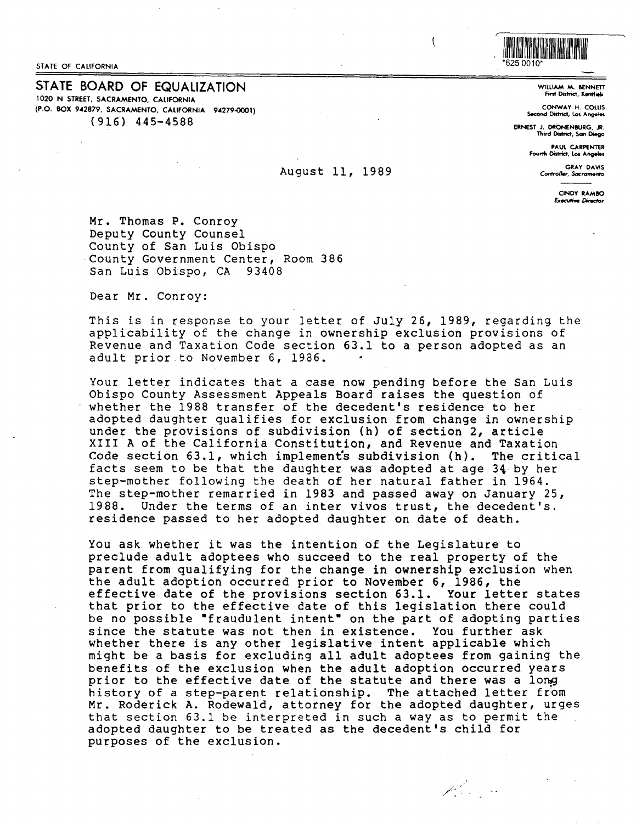STATE OF CALIFORNIA

STATE **BOARD** OF EQUALIZATION 1020 N STREET, **SACRAMENTO, CALIFORNIA (P.O. BOX 942879, SACRAMENTO, CALIFORNIA 94279-0001)**  ( 916') 445-4588

# August 11, 1989

WllLIAM **M. BENNETT**  nnt **District, Kentfiel<** 

**CONWAY** H. COLLIS **Second District, Los Angeles** 

**ERNEST J. DRONENBURG, JR.<br>Third District, Son Diego** 

I IIIIII IIIII IIIII IIII IIIIII IIIII IIIII IIIII IIII IIII

\*625 0010\*

 $\mathfrak{t}$ 

PAUL CARPENTER Fourth District, Los Angeles

> GRAY DAVIS Controller, Sacramento

> > CINDY **RAMBO &ecvliw Oirector**

Mr. Thomas P. Conroy Deputy County Counsel County of San Luis Obispo County Government Center, Room 386 San Luis Obispo, CA 93408

Dear Mr. Conroy:

This is in response to your letter of July 26, 1989, regarding the applicability of the change in ownership exclusion provisions of Revenue and Taxation Code section 63.1 to a person adopted as an adult prior to November 6, 1986.

Your letter indicates that a case now pending before the San Luis Obispo County Assessment Appeals Board raises the question of whether the 1988 transfer of the decedent's residence to her adopted daughter qualifies for exclusion from change in ownership under the provisions of subdivision (h) of section 2, article XIII A of the California Constitution, and Revenue and Taxation<br>Code section 63.1, which implements subdivision (h). The critical Code section  $63.1$ , which implements subdivision (h). facts seem to be that the daughter was adopted at age 34 by her step-mother following the death of her natural father in 1964. The step-mother remarried in 1983 and passed away on January 25, 1988. Under the terms of an inter vivos trust, the decedent's. residence passed to her adopted daughter on date of death.

You ask whether it was the intention of the Legislature to preclude adult adoptees who succeed to the real property of the parent from qualifying for the change in ownership exclusion when the adult adoption occurred prior to November 6, 1986, the effective date of the provisions section 63.1. Your letter states that prior to the effective date of this legislation there could be no possible "fraudulent intent" on the part of adopting parties since the statute was not then in existence. You further ask whether there is any other legislative intent applicable which might be a basis for excluding all adult adoptees from gaining the prior to the effective date of the statute and there was a long history of a step-parent relationship. The attached letter from Mr. Roderick A. Rodewald, attorney for the adopted daughter, urges that section 63.l be interpreted in such a way as to permit the adopted daughter to be treated as the decedent's child for purposes of the exclusion.

 $\mathscr{L}^2_{\mathrm{crys}}$  .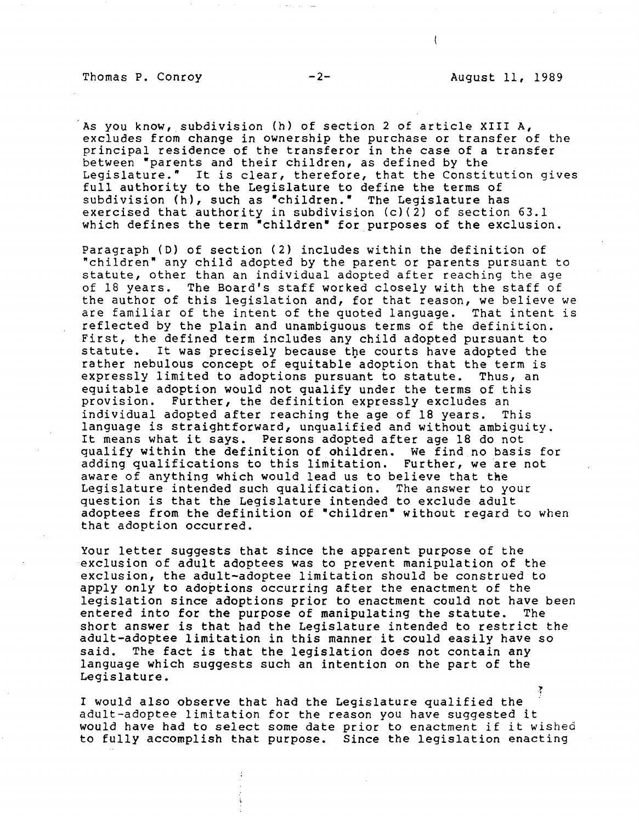## Thomas P. Conroy  $-2 -$  August 11, 1989

As you know, subdivision (h) of section 2 of article XIII A, excludes from change in ownership the purchase or transfer of the principal residence of the transferor in the case of a transfer between "parents and their children, as defined by the Legislature." It is clear, therefore, that the Constitution gives full authority to the Legislature to define the terms of subdivision (h), such as "children." The Legislature has exercised that authority in subdivision (c)(2) of section 63.1 which defines the term "children" for purposes of the exclusion.

Paragraph (D) of section (2) includes within the definition of "children• any child adopted by the parent or parents pursuant to statute, other than an individual adopted after reaching the age of 18 years. The Board's staff worked closely with the staff of the author of this legislation and, for that reason, we believe we<br>are familiar of the intent of the quoted language. That intent is are familiar of the intent of the quoted language. reflected by the plain and unambiguous terms of the definition. First, the defined term includes any child adopted pursuant to<br>statute. It was precisely because the courts have adopted the It was precisely because the courts have adopted the rather nebulous concept of equitable adoption that the term is<br>expressly limited to adoptions pursuant to statute. Thus, an expressly limited to adoptions pursuant to statute. equitable adoption would not qualify under the terms of this<br>provision. Further, the definition expressly excludes an Further, the definition expressly excludes an individual adopted after reaching the age of 18 years. This language is straightforward, unqualified and without ambiguity. It means what it says. Persons adopted after age 18 do not qualify within the definition of ohildren. We find no basis for adding qualifications to this limitation. Further, we are not aware of anything which would lead us to believe that the Legislature intended such qualification. The answer to your question is that the Legislature intended to exclude adult adoptees from the definition of "children" without regard to when that adoption occurred.

Your letter suggests that since the apparent purpose of the exclusion of adult adoptees was to prevent manipulation of the exclusion, the adult-adoptee limitation should be construed to apply only to adoptions occurring after the enactment of the legislation since adoptions prior to enactment could not have been<br>entered into for the purpose of manipulating the statute. The entered into for the purpose of manipulating the statute. short answer is that had the Legislature intended to restrict the adult-adoptee limitation in this manner it could easily have so said. The fact is that the legislation does not contain any language which suggests such an intention on the part of the Legislature.

I would also observe that had the Legislature qualified the adult-adoptee limitation for the reason you have suggested it would have had to select some date prior to enactment if it wished to fully accomplish that purpose. Since the legislation enacting